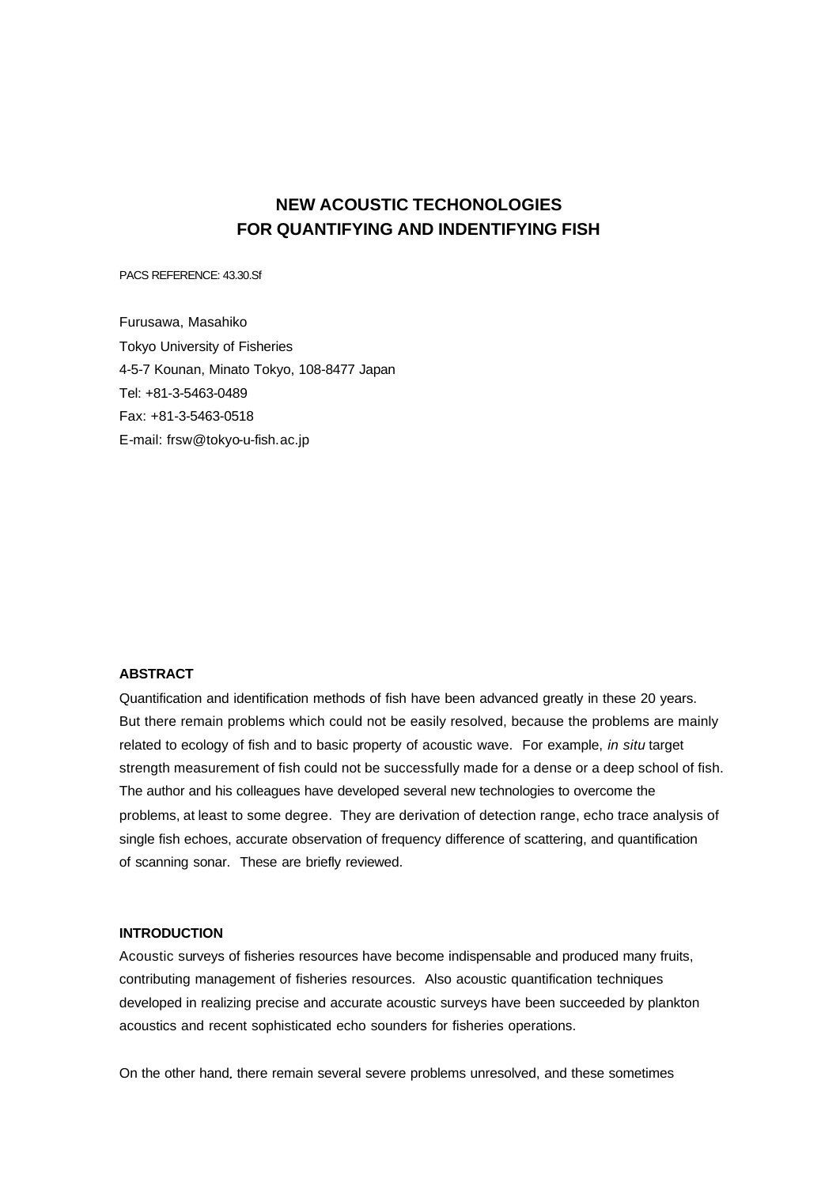# **NEW ACOUSTIC TECHONOLOGIES FOR QUANTIFYING AND INDENTIFYING FISH**

PACS REFERENCE: 43.30.Sf

Furusawa, Masahiko Tokyo University of Fisheries 4-5-7 Kounan, Minato Tokyo, 108-8477 Japan Tel: +81-3-5463-0489 Fax: +81-3-5463-0518 E-mail: frsw@tokyo-u-fish.ac.jp

# **ABSTRACT**

Quantification and identification methods of fish have been advanced greatly in these 20 years. But there remain problems which could not be easily resolved, because the problems are mainly related to ecology of fish and to basic property of acoustic wave. For example, *in situ* target strength measurement of fish could not be successfully made for a dense or a deep school of fish. The author and his colleagues have developed several new technologies to overcome the problems, at least to some degree. They are derivation of detection range, echo trace analysis of single fish echoes, accurate observation of frequency difference of scattering, and quantification of scanning sonar. These are briefly reviewed.

## **INTRODUCTION**

Acoustic surveys of fisheries resources have become indispensable and produced many fruits, contributing management of fisheries resources. Also acoustic quantification techniques developed in realizing precise and accurate acoustic surveys have been succeeded by plankton acoustics and recent sophisticated echo sounders for fisheries operations.

On the other hand, there remain several severe problems unresolved, and these sometimes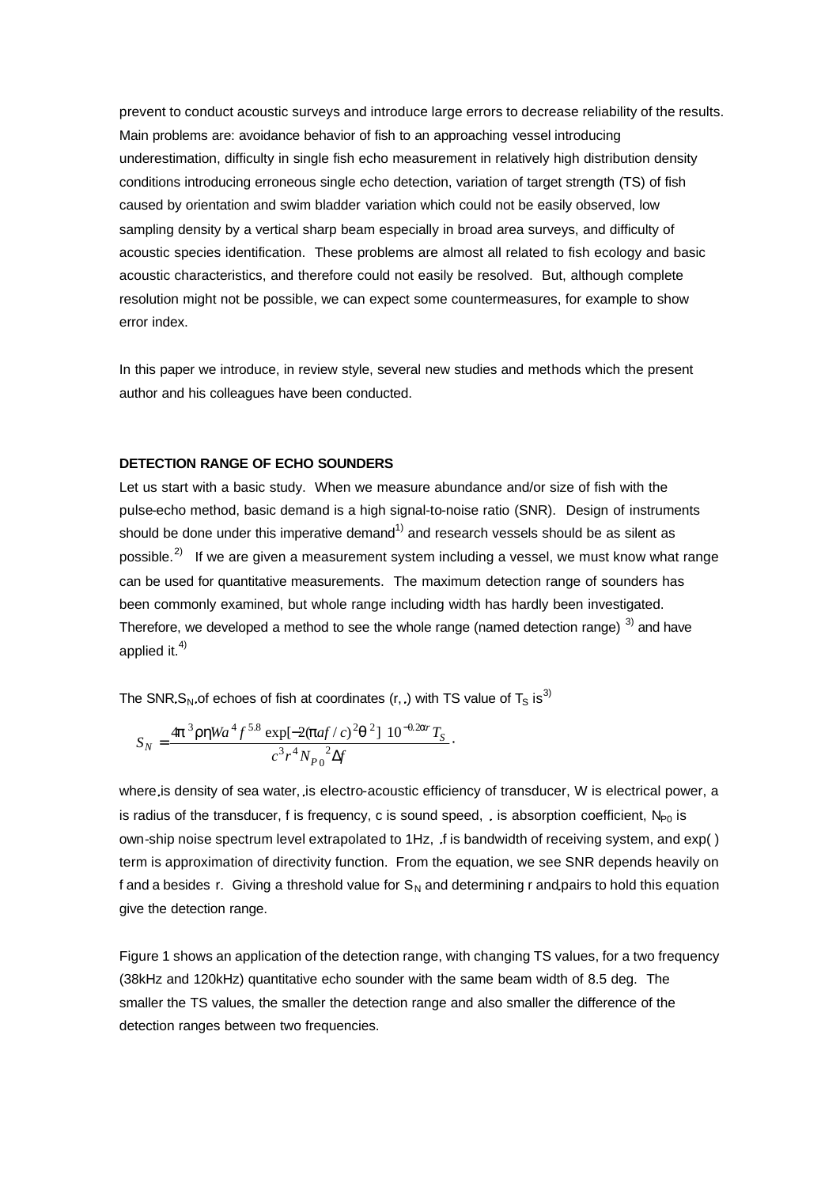prevent to conduct acoustic surveys and introduce large errors to decrease reliability of the results. Main problems are: avoidance behavior of fish to an approaching vessel introducing underestimation, difficulty in single fish echo measurement in relatively high distribution density conditions introducing erroneous single echo detection, variation of target strength (TS) of fish caused by orientation and swim bladder variation which could not be easily observed, low sampling density by a vertical sharp beam especially in broad area surveys, and difficulty of acoustic species identification. These problems are almost all related to fish ecology and basic acoustic characteristics, and therefore could not easily be resolved. But, although complete resolution might not be possible, we can expect some countermeasures, for example to show error index.

In this paper we introduce, in review style, several new studies and methods which the present author and his colleagues have been conducted.

#### **DETECTION RANGE OF ECHO SOUNDERS**

Let us start with a basic study. When we measure abundance and/or size of fish with the pulse-echo method, basic demand is a high signal-to-noise ratio (SNR). Design of instruments should be done under this imperative demand<sup>1)</sup> and research vessels should be as silent as possible.<sup>2)</sup> If we are given a measurement system including a vessel, we must know what range can be used for quantitative measurements. The maximum detection range of sounders has been commonly examined, but whole range including width has hardly been investigated. Therefore, we developed a method to see the whole range (named detection range)  $3)$  and have applied it. $4)$ 

The SNR, S<sub>N</sub>, of echoes of fish at coordinates (r, .) with TS value of T<sub>S</sub> is<sup>3)</sup>

$$
S_N = \frac{4\mathbf{p}^3 \mathbf{r} \mathbf{h} W a^4 f^{5.8} \exp[-2(\mathbf{p} a f/c)^2 \mathbf{q}^2] 10^{-0.2 \mathbf{a} r} T_S}{c^3 r^4 N_{P0}^2 \Delta f}.
$$

where is density of sea water, is electro-acoustic efficiency of transducer, W is electrical power, a is radius of the transducer, f is frequency, c is sound speed,  $\ldots$  is absorption coefficient, N<sub>P0</sub> is own-ship noise spectrum level extrapolated to 1Hz, .f is bandwidth of receiving system, and exp() term is approximation of directivity function. From the equation, we see SNR depends heavily on f and a besides r. Giving a threshold value for  $S_N$  and determining r and pairs to hold this equation give the detection range.

Figure 1 shows an application of the detection range, with changing TS values, for a two frequency (38kHz and 120kHz) quantitative echo sounder with the same beam width of 8.5 deg. The smaller the TS values, the smaller the detection range and also smaller the difference of the detection ranges between two frequencies.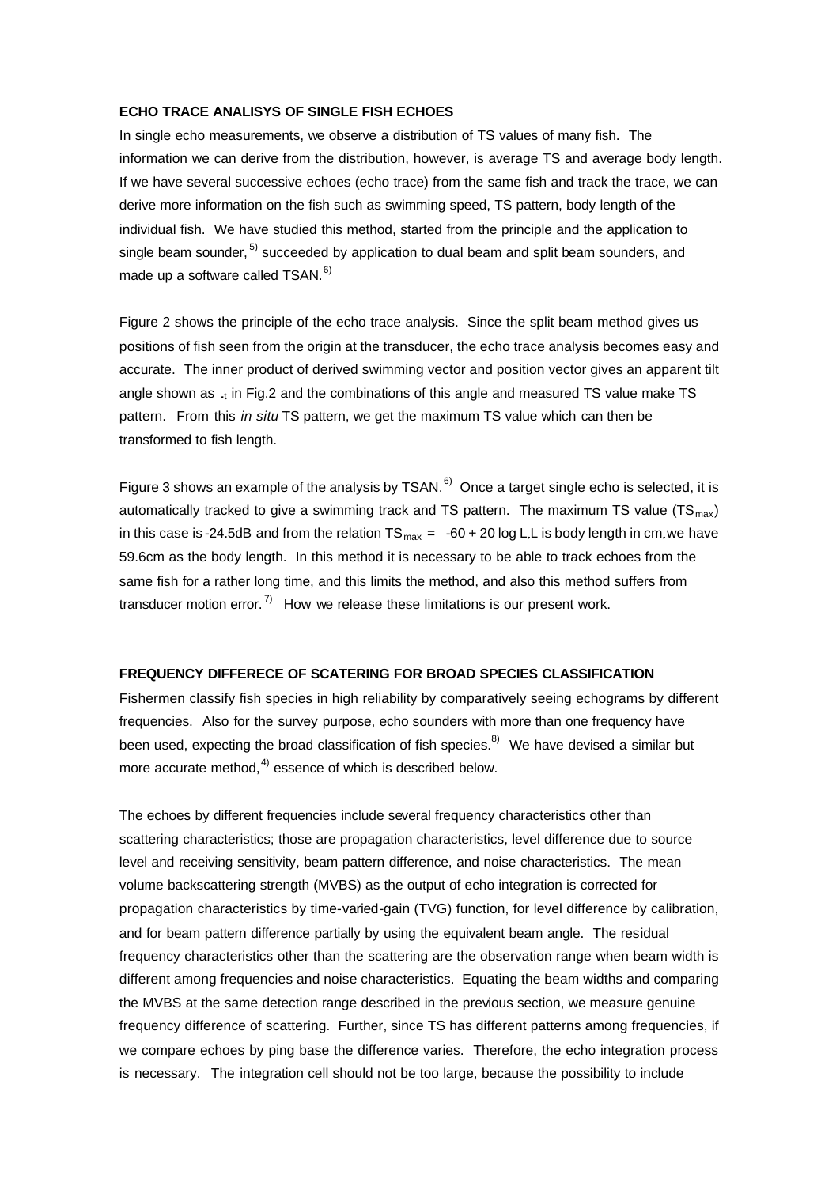#### **ECHO TRACE ANALISYS OF SINGLE FISH ECHOES**

In single echo measurements, we observe a distribution of TS values of many fish. The information we can derive from the distribution, however, is average TS and average body length. If we have several successive echoes (echo trace) from the same fish and track the trace, we can derive more information on the fish such as swimming speed, TS pattern, body length of the individual fish. We have studied this method, started from the principle and the application to single beam sounder, <sup>5)</sup> succeeded by application to dual beam and split beam sounders, and made up a software called TSAN.<sup>6)</sup>

Figure 2 shows the principle of the echo trace analysis. Since the split beam method gives us positions of fish seen from the origin at the transducer, the echo trace analysis becomes easy and accurate. The inner product of derived swimming vector and position vector gives an apparent tilt angle shown as  $\cdot_{\rm t}$  in Fig.2 and the combinations of this angle and measured TS value make TS pattern. From this *in situ* TS pattern, we get the maximum TS value which can then be transformed to fish length.

Figure 3 shows an example of the analysis by TSAN.<sup>6)</sup> Once a target single echo is selected, it is automatically tracked to give a swimming track and TS pattern. The maximum TS value  $(TS<sub>max</sub>)$ in this case is -24.5dB and from the relation  $TS_{max} = -60 + 20 \log L$ . L is body length in cm we have 59.6cm as the body length. In this method it is necessary to be able to track echoes from the same fish for a rather long time, and this limits the method, and also this method suffers from transducer motion error.<sup>7)</sup> How we release these limitations is our present work.

## **FREQUENCY DIFFERECE OF SCATERING FOR BROAD SPECIES CLASSIFICATION**

Fishermen classify fish species in high reliability by comparatively seeing echograms by different frequencies. Also for the survey purpose, echo sounders with more than one frequency have been used, expecting the broad classification of fish species. $8$ <sup>8</sup> We have devised a similar but more accurate method, $4$ ) essence of which is described below.

The echoes by different frequencies include several frequency characteristics other than scattering characteristics; those are propagation characteristics, level difference due to source level and receiving sensitivity, beam pattern difference, and noise characteristics. The mean volume backscattering strength (MVBS) as the output of echo integration is corrected for propagation characteristics by time-varied-gain (TVG) function, for level difference by calibration, and for beam pattern difference partially by using the equivalent beam angle. The residual frequency characteristics other than the scattering are the observation range when beam width is different among frequencies and noise characteristics. Equating the beam widths and comparing the MVBS at the same detection range described in the previous section, we measure genuine frequency difference of scattering. Further, since TS has different patterns among frequencies, if we compare echoes by ping base the difference varies. Therefore, the echo integration process is necessary. The integration cell should not be too large, because the possibility to include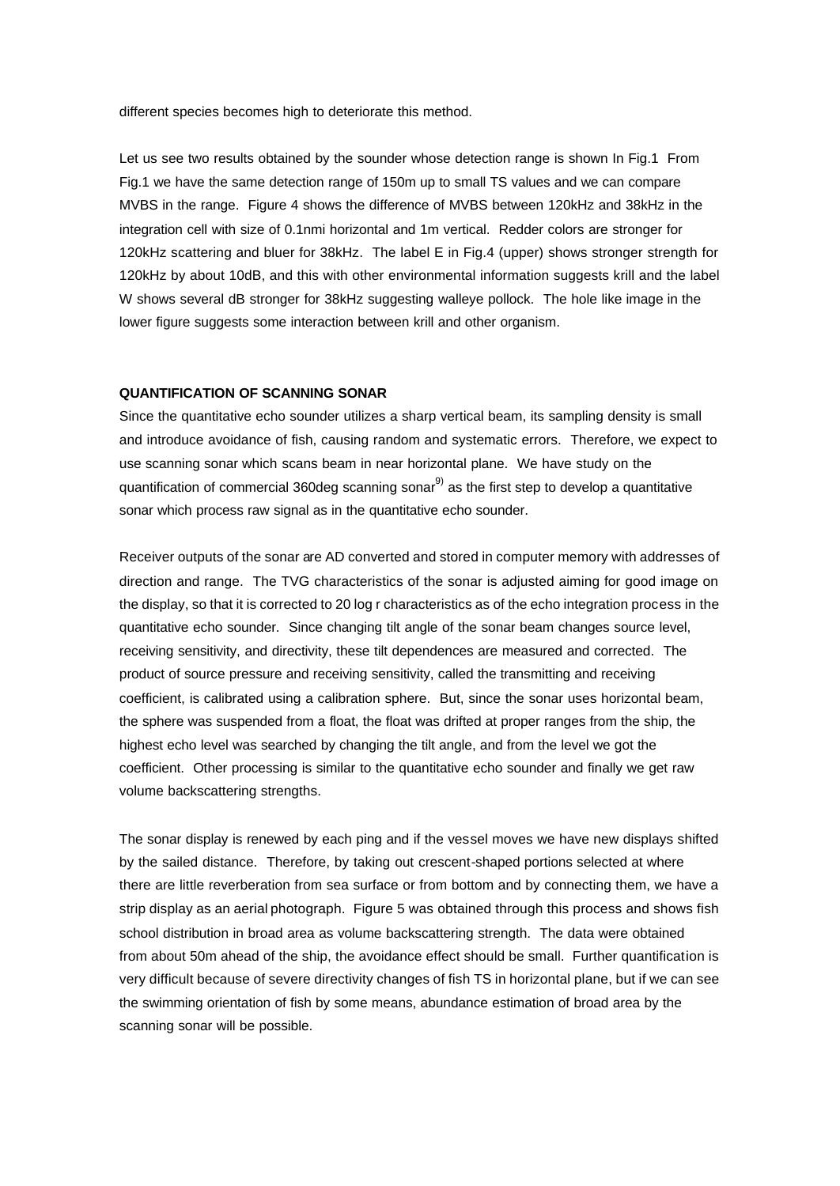different species becomes high to deteriorate this method.

Let us see two results obtained by the sounder whose detection range is shown In Fig.1 From Fig.1 we have the same detection range of 150m up to small TS values and we can compare MVBS in the range. Figure 4 shows the difference of MVBS between 120kHz and 38kHz in the integration cell with size of 0.1nmi horizontal and 1m vertical. Redder colors are stronger for 120kHz scattering and bluer for 38kHz. The label E in Fig.4 (upper) shows stronger strength for 120kHz by about 10dB, and this with other environmental information suggests krill and the label W shows several dB stronger for 38kHz suggesting walleye pollock. The hole like image in the lower figure suggests some interaction between krill and other organism.

## **QUANTIFICATION OF SCANNING SONAR**

Since the quantitative echo sounder utilizes a sharp vertical beam, its sampling density is small and introduce avoidance of fish, causing random and systematic errors. Therefore, we expect to use scanning sonar which scans beam in near horizontal plane. We have study on the quantification of commercial 360deg scanning sonar $9$  as the first step to develop a quantitative sonar which process raw signal as in the quantitative echo sounder.

Receiver outputs of the sonar are AD converted and stored in computer memory with addresses of direction and range. The TVG characteristics of the sonar is adjusted aiming for good image on the display, so that it is corrected to 20 log r characteristics as of the echo integration process in the quantitative echo sounder. Since changing tilt angle of the sonar beam changes source level, receiving sensitivity, and directivity, these tilt dependences are measured and corrected. The product of source pressure and receiving sensitivity, called the transmitting and receiving coefficient, is calibrated using a calibration sphere. But, since the sonar uses horizontal beam, the sphere was suspended from a float, the float was drifted at proper ranges from the ship, the highest echo level was searched by changing the tilt angle, and from the level we got the coefficient. Other processing is similar to the quantitative echo sounder and finally we get raw volume backscattering strengths.

The sonar display is renewed by each ping and if the vessel moves we have new displays shifted by the sailed distance. Therefore, by taking out crescent-shaped portions selected at where there are little reverberation from sea surface or from bottom and by connecting them, we have a strip display as an aerial photograph. Figure 5 was obtained through this process and shows fish school distribution in broad area as volume backscattering strength. The data were obtained from about 50m ahead of the ship, the avoidance effect should be small. Further quantification is very difficult because of severe directivity changes of fish TS in horizontal plane, but if we can see the swimming orientation of fish by some means, abundance estimation of broad area by the scanning sonar will be possible.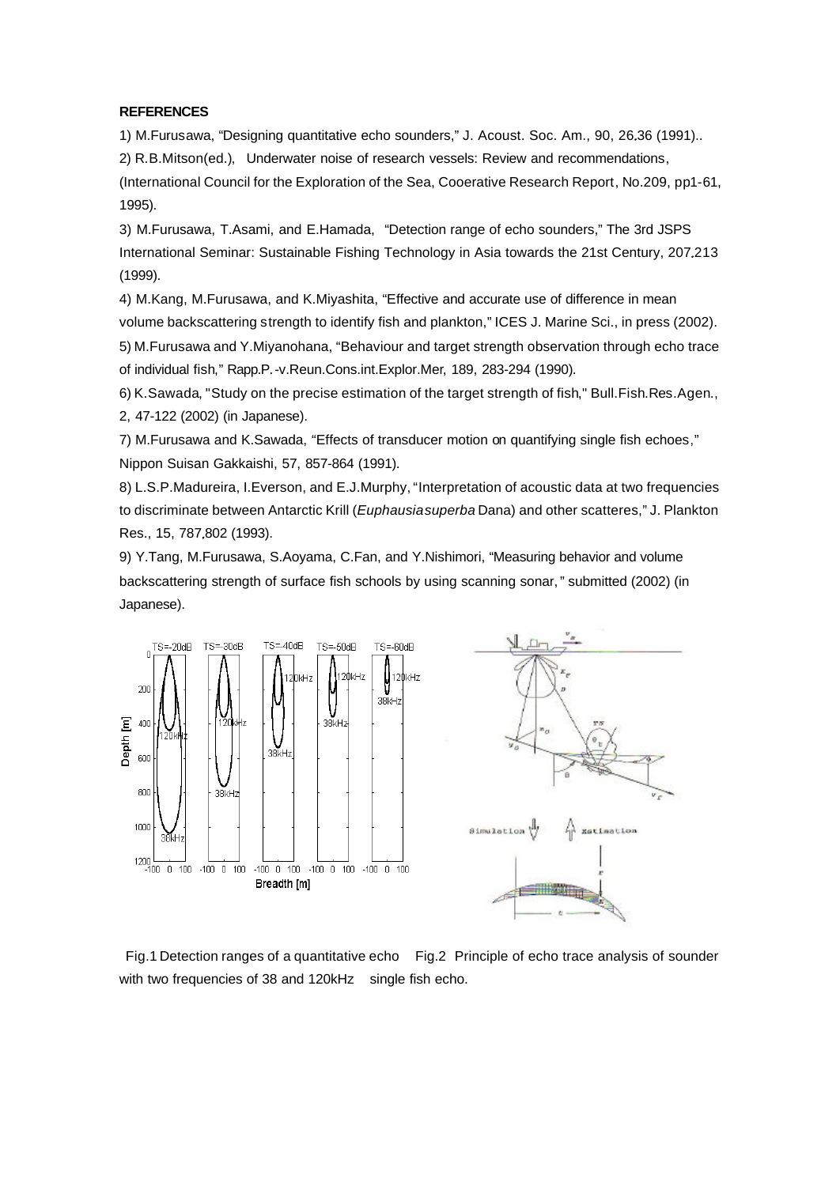### **REFERENCES**

1) M.Furusawa, "Designing quantitative echo sounders," J. Acoust. Soc. Am., 90, 26 36 (1991)..

2) R.B.Mitson(ed.), Underwater noise of research vessels: Review and recommendations,

(International Council for the Exploration of the Sea, Cooerative Research Report, No.209, pp1-61, 1995).

3) M.Furusawa, T.Asami, and E.Hamada, "Detection range of echo sounders," The 3rd JSPS International Seminar: Sustainable Fishing Technology in Asia towards the 21st Century, 207.213 (1999).

4) M.Kang, M.Furusawa, and K.Miyashita, "Effective and accurate use of difference in mean volume backscattering strength to identify fish and plankton," ICES J. Marine Sci., in press (2002). 5) M.Furusawa and Y.Miyanohana, "Behaviour and target strength observation through echo trace

of individual fish," Rapp.P.-v.Reun.Cons.int.Explor.Mer, 189, 283-294 (1990).

6) K.Sawada, "Study on the precise estimation of the target strength of fish," Bull.Fish.Res.Agen., 2, 47-122 (2002) (in Japanese).

7) M.Furusawa and K.Sawada, "Effects of transducer motion on quantifying single fish echoes," Nippon Suisan Gakkaishi, 57, 857-864 (1991).

8) L.S.P.Madureira, I.Everson, and E.J.Murphy, "Interpretation of acoustic data at two frequencies to discriminate between Antarctic Krill (*Euphausia superba* Dana) and other scatteres," J. Plankton Res., 15, 787 802 (1993).

9) Y.Tang, M.Furusawa, S.Aoyama, C.Fan, and Y.Nishimori, "Measuring behavior and volume backscattering strength of surface fish schools by using scanning sonar," submitted (2002) (in Japanese).



 Fig.1 Detection ranges of a quantitative echo Fig.2 Principle of echo trace analysis of sounder with two frequencies of 38 and 120kHz single fish echo.